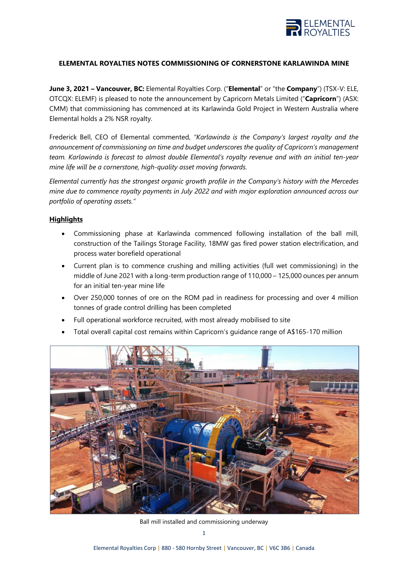

## **ELEMENTAL ROYALTIES NOTES COMMISSIONING OF CORNERSTONE KARLAWINDA MINE**

**June 3, 2021 – Vancouver, BC:** Elemental Royalties Corp. ("**Elemental**" or "the **Company**") (TSX-V: ELE, OTCQX: ELEMF) is pleased to note the announcement by Capricorn Metals Limited ("**Capricorn**") (ASX: CMM) that commissioning has commenced at its Karlawinda Gold Project in Western Australia where Elemental holds a 2% NSR royalty.

Frederick Bell, CEO of Elemental commented, *"Karlawinda is the Company's largest royalty and the announcement of commissioning on time and budget underscores the quality of Capricorn's management team. Karlawinda is forecast to almost double Elemental's royalty revenue and with an initial ten-year mine life will be a cornerstone, high-quality asset moving forwards.*

*Elemental currently has the strongest organic growth profile in the Company's history with the Mercedes mine due to commence royalty payments in July 2022 and with major exploration announced across our portfolio of operating assets."* 

## **Highlights**

- Commissioning phase at Karlawinda commenced following installation of the ball mill, construction of the Tailings Storage Facility, 18MW gas fired power station electrification, and process water borefield operational
- Current plan is to commence crushing and milling activities (full wet commissioning) in the middle of June 2021 with a long-term production range of 110,000 – 125,000 ounces per annum for an initial ten-year mine life
- Over 250,000 tonnes of ore on the ROM pad in readiness for processing and over 4 million tonnes of grade control drilling has been completed
- Full operational workforce recruited, with most already mobilised to site
- Total overall capital cost remains within Capricorn's guidance range of A\$165-170 million



Ball mill installed and commissioning underway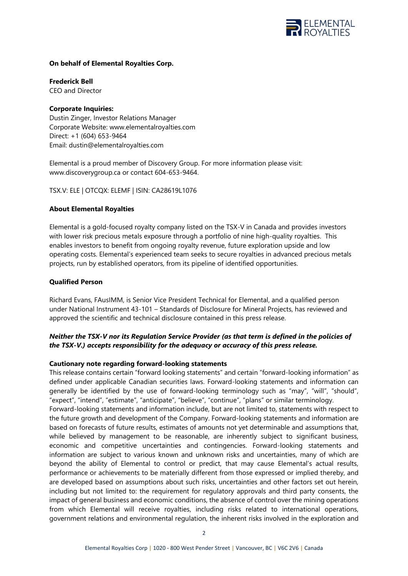

## **On behalf of Elemental Royalties Corp.**

**Frederick Bell** CEO and Director

## **Corporate Inquiries:**

Dustin Zinger, Investor Relations Manager Corporate Website: [www.elementalroyalties.com](http://www.elementalroyalties.com/) Direct: +1 (604) 653-9464 Email: [dustin@elementalroyalties.com](mailto:dustin@elementalroyalties.com)

Elemental is a proud member of Discovery Group. For more information please visit: [www.discoverygroup.ca](http://www.discoverygroup.ca/) or contact 604-653-9464.

TSX.V: ELE | OTCQX: ELEMF | ISIN: CA28619L1076

# **About Elemental Royalties**

Elemental is a gold-focused royalty company listed on the TSX-V in Canada and provides investors with lower risk precious metals exposure through a portfolio of nine high-quality royalties. This enables investors to benefit from ongoing royalty revenue, future exploration upside and low operating costs. Elemental's experienced team seeks to secure royalties in advanced precious metals projects, run by established operators, from its pipeline of identified opportunities.

# **Qualified Person**

Richard Evans, FAusIMM, is Senior Vice President Technical for Elemental, and a qualified person under National Instrument 43-101 – Standards of Disclosure for Mineral Projects, has reviewed and approved the scientific and technical disclosure contained in this press release.

# *Neither the TSX-V nor its Regulation Service Provider (as that term is defined in the policies of the TSX-V.) accepts responsibility for the adequacy or accuracy of this press release.*

## **Cautionary note regarding forward-looking statements**

This release contains certain "forward looking statements" and certain "forward-looking information" as defined under applicable Canadian securities laws. Forward-looking statements and information can generally be identified by the use of forward-looking terminology such as "may", "will", "should", "expect", "intend", "estimate", "anticipate", "believe", "continue", "plans" or similar terminology. Forward-looking statements and information include, but are not limited to, statements with respect to the future growth and development of the Company. Forward-looking statements and information are based on forecasts of future results, estimates of amounts not yet determinable and assumptions that, while believed by management to be reasonable, are inherently subject to significant business, economic and competitive uncertainties and contingencies. Forward-looking statements and information are subject to various known and unknown risks and uncertainties, many of which are beyond the ability of Elemental to control or predict, that may cause Elemental's actual results, performance or achievements to be materially different from those expressed or implied thereby, and are developed based on assumptions about such risks, uncertainties and other factors set out herein, including but not limited to: the requirement for regulatory approvals and third party consents, the impact of general business and economic conditions, the absence of control over the mining operations from which Elemental will receive royalties, including risks related to international operations, government relations and environmental regulation, the inherent risks involved in the exploration and